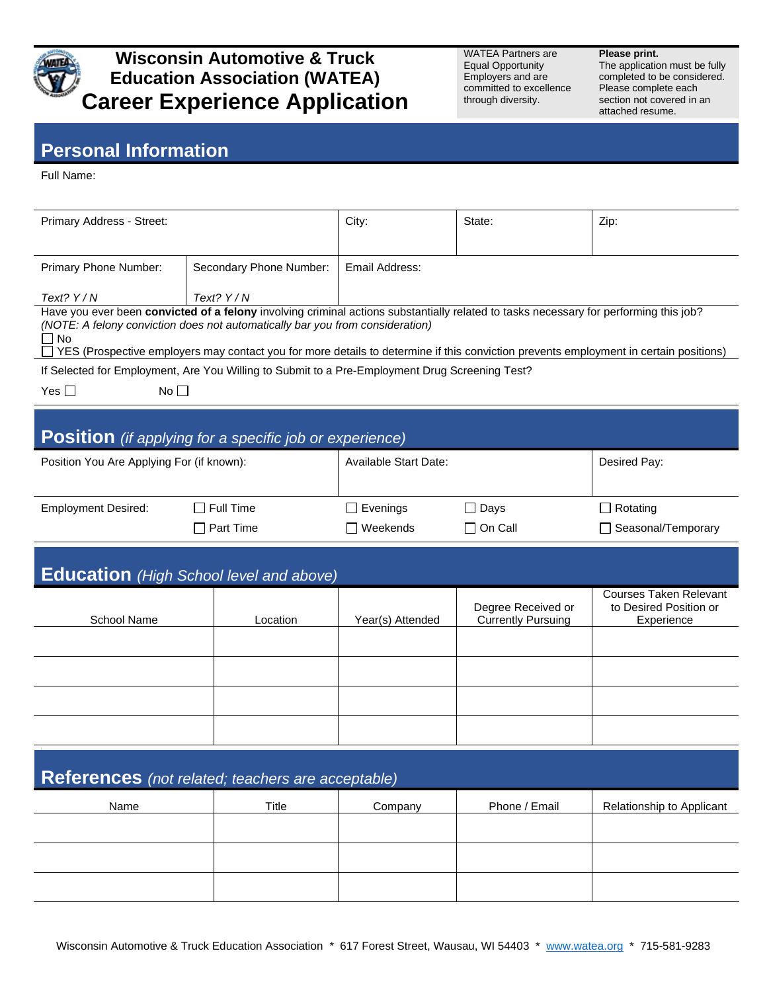

## **Wisconsin Automotive & Truck Education Association (WATEA) Career Experience Application**

WATEA Partners are Equal Opportunity Employers and are committed to excellence through diversity.

**Please print.** The application must be fully completed to be considered. Please complete each

section not covered in an attached resume.

## **Personal Information**

Full Name:

| Primary Address - Street:                                                                                                                                                                                                                                                                                                                                                    |                         | City:                        | State:                                          | Zip:                                                                  |  |  |  |  |  |
|------------------------------------------------------------------------------------------------------------------------------------------------------------------------------------------------------------------------------------------------------------------------------------------------------------------------------------------------------------------------------|-------------------------|------------------------------|-------------------------------------------------|-----------------------------------------------------------------------|--|--|--|--|--|
| Primary Phone Number:                                                                                                                                                                                                                                                                                                                                                        | Secondary Phone Number: | Email Address:               |                                                 |                                                                       |  |  |  |  |  |
| Text? Y/N                                                                                                                                                                                                                                                                                                                                                                    | Text? $Y/N$             |                              |                                                 |                                                                       |  |  |  |  |  |
| Have you ever been convicted of a felony involving criminal actions substantially related to tasks necessary for performing this job?<br>(NOTE: A felony conviction does not automatically bar you from consideration)<br><b>No</b><br>YES (Prospective employers may contact you for more details to determine if this conviction prevents employment in certain positions) |                         |                              |                                                 |                                                                       |  |  |  |  |  |
| If Selected for Employment, Are You Willing to Submit to a Pre-Employment Drug Screening Test?                                                                                                                                                                                                                                                                               |                         |                              |                                                 |                                                                       |  |  |  |  |  |
| Yes $\square$<br>No $\square$                                                                                                                                                                                                                                                                                                                                                |                         |                              |                                                 |                                                                       |  |  |  |  |  |
| <b>Position</b> (if applying for a specific job or experience)                                                                                                                                                                                                                                                                                                               |                         |                              |                                                 |                                                                       |  |  |  |  |  |
| Position You Are Applying For (if known):                                                                                                                                                                                                                                                                                                                                    |                         | <b>Available Start Date:</b> | Desired Pay:                                    |                                                                       |  |  |  |  |  |
| <b>Employment Desired:</b>                                                                                                                                                                                                                                                                                                                                                   | $\Box$ Full Time        | Evenings                     | $\Box$ Days                                     | $\Box$ Rotating                                                       |  |  |  |  |  |
|                                                                                                                                                                                                                                                                                                                                                                              | $\Box$ Part Time        | Weekends                     | $\Box$ On Call                                  | □ Seasonal/Temporary                                                  |  |  |  |  |  |
|                                                                                                                                                                                                                                                                                                                                                                              |                         |                              |                                                 |                                                                       |  |  |  |  |  |
| <b>Education</b> (High School level and above)                                                                                                                                                                                                                                                                                                                               |                         |                              |                                                 |                                                                       |  |  |  |  |  |
| School Name                                                                                                                                                                                                                                                                                                                                                                  | Location                | Year(s) Attended             | Degree Received or<br><b>Currently Pursuing</b> | <b>Courses Taken Relevant</b><br>to Desired Position or<br>Experience |  |  |  |  |  |
|                                                                                                                                                                                                                                                                                                                                                                              |                         |                              |                                                 |                                                                       |  |  |  |  |  |
|                                                                                                                                                                                                                                                                                                                                                                              |                         |                              |                                                 |                                                                       |  |  |  |  |  |
|                                                                                                                                                                                                                                                                                                                                                                              |                         |                              |                                                 |                                                                       |  |  |  |  |  |
|                                                                                                                                                                                                                                                                                                                                                                              |                         |                              |                                                 |                                                                       |  |  |  |  |  |
|                                                                                                                                                                                                                                                                                                                                                                              |                         |                              |                                                 |                                                                       |  |  |  |  |  |
|                                                                                                                                                                                                                                                                                                                                                                              |                         |                              |                                                 |                                                                       |  |  |  |  |  |
| References (not related; teachers are acceptable)                                                                                                                                                                                                                                                                                                                            |                         |                              |                                                 |                                                                       |  |  |  |  |  |
| Name                                                                                                                                                                                                                                                                                                                                                                         | Title                   | Company                      | Phone / Email                                   | Relationship to Applicant                                             |  |  |  |  |  |
|                                                                                                                                                                                                                                                                                                                                                                              |                         |                              |                                                 |                                                                       |  |  |  |  |  |
|                                                                                                                                                                                                                                                                                                                                                                              |                         |                              |                                                 |                                                                       |  |  |  |  |  |
|                                                                                                                                                                                                                                                                                                                                                                              |                         |                              |                                                 |                                                                       |  |  |  |  |  |
|                                                                                                                                                                                                                                                                                                                                                                              |                         |                              |                                                 |                                                                       |  |  |  |  |  |
|                                                                                                                                                                                                                                                                                                                                                                              |                         |                              |                                                 |                                                                       |  |  |  |  |  |